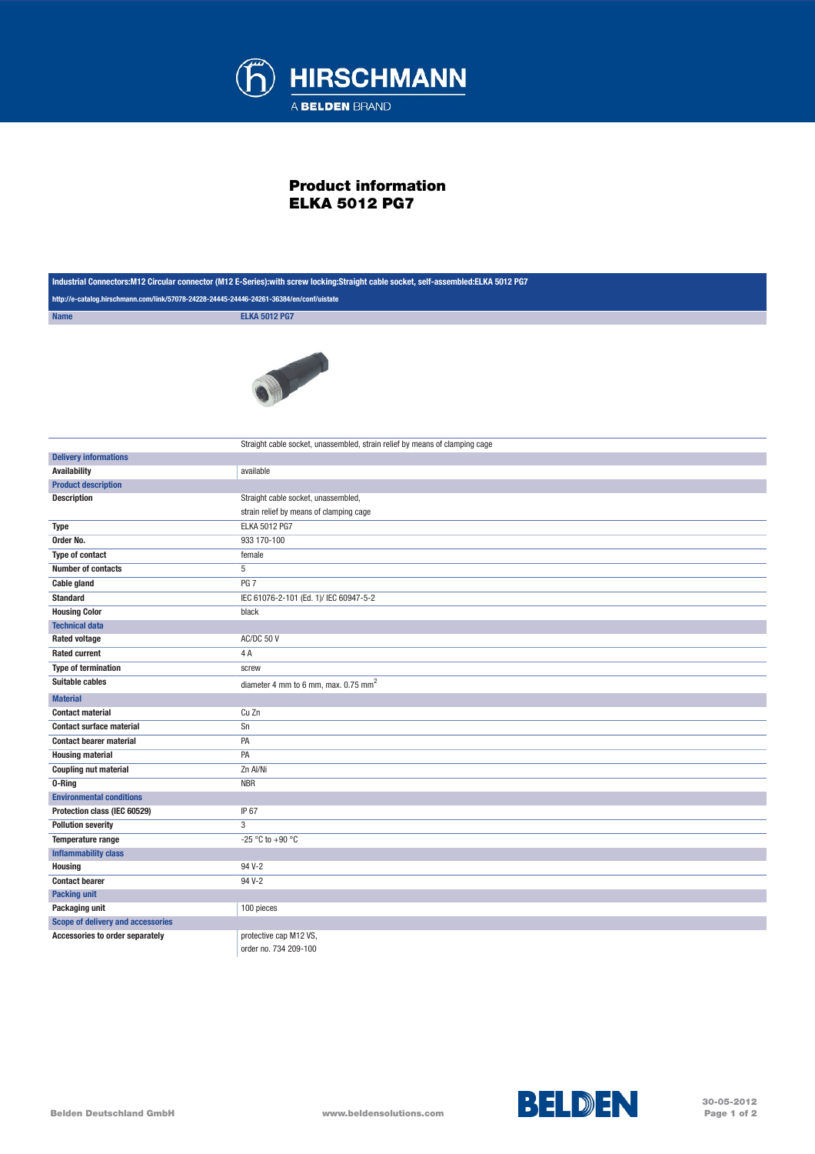

## Product information ELKA 5012 PG7

| Industrial Connectors: M12 Circular connector (M12 E-Series): with screw locking: Straight cable socket, self-assembled: ELKA 5012 PG7 |                                                                             |
|----------------------------------------------------------------------------------------------------------------------------------------|-----------------------------------------------------------------------------|
| http://e-catalog.hirschmann.com/link/57078-24228-24445-24446-24261-36384/en/conf/uistate                                               |                                                                             |
| <b>Name</b>                                                                                                                            | <b>ELKA 5012 PG7</b>                                                        |
|                                                                                                                                        | T                                                                           |
|                                                                                                                                        | Straight cable socket, unassembled, strain relief by means of clamping cage |
| <b>Delivery informations</b>                                                                                                           |                                                                             |
| <b>Availability</b>                                                                                                                    | available                                                                   |
| <b>Product description</b>                                                                                                             |                                                                             |
| <b>Description</b>                                                                                                                     | Straight cable socket, unassembled,                                         |
| <b>Type</b>                                                                                                                            | strain relief by means of clamping cage<br><b>ELKA 5012 PG7</b>             |
| Order No.                                                                                                                              | 933 170-100                                                                 |
| <b>Type of contact</b>                                                                                                                 | female                                                                      |
| <b>Number of contacts</b>                                                                                                              | 5                                                                           |
| <b>Cable gland</b>                                                                                                                     | PG <sub>7</sub>                                                             |
| <b>Standard</b>                                                                                                                        | IEC 61076-2-101 (Ed. 1)/ IEC 60947-5-2                                      |
| <b>Housing Color</b>                                                                                                                   | black                                                                       |
| <b>Technical data</b>                                                                                                                  |                                                                             |
| <b>Rated voltage</b>                                                                                                                   | AC/DC 50 V                                                                  |
| <b>Rated current</b>                                                                                                                   | 4 A                                                                         |
| <b>Type of termination</b>                                                                                                             | screw                                                                       |
| Suitable cables                                                                                                                        | diameter 4 mm to 6 mm, max. 0.75 mm <sup>2</sup>                            |
| <b>Material</b>                                                                                                                        |                                                                             |
| <b>Contact material</b>                                                                                                                | Cu Zn                                                                       |
| <b>Contact surface material</b>                                                                                                        | Sn                                                                          |
| <b>Contact bearer material</b>                                                                                                         | PA                                                                          |
| <b>Housing material</b>                                                                                                                | PA                                                                          |
| <b>Coupling nut material</b>                                                                                                           | Zn Al/Ni                                                                    |
| 0-Ring                                                                                                                                 | <b>NBR</b>                                                                  |
| <b>Environmental conditions</b>                                                                                                        |                                                                             |
| Protection class (IEC 60529)                                                                                                           | IP 67                                                                       |
| <b>Pollution severity</b>                                                                                                              | 3                                                                           |
| Temperature range                                                                                                                      | -25 °C to +90 °C                                                            |
| <b>Inflammability class</b>                                                                                                            |                                                                             |
| <b>Housing</b>                                                                                                                         | 94 V-2                                                                      |
| <b>Contact bearer</b>                                                                                                                  | 94 V-2                                                                      |
| <b>Packing unit</b>                                                                                                                    |                                                                             |
| Packaging unit                                                                                                                         | 100 pieces                                                                  |
| Scope of delivery and accessories                                                                                                      |                                                                             |
| Accessories to order separately                                                                                                        | protective cap M12 VS,                                                      |
|                                                                                                                                        | order no. 734 209-100                                                       |